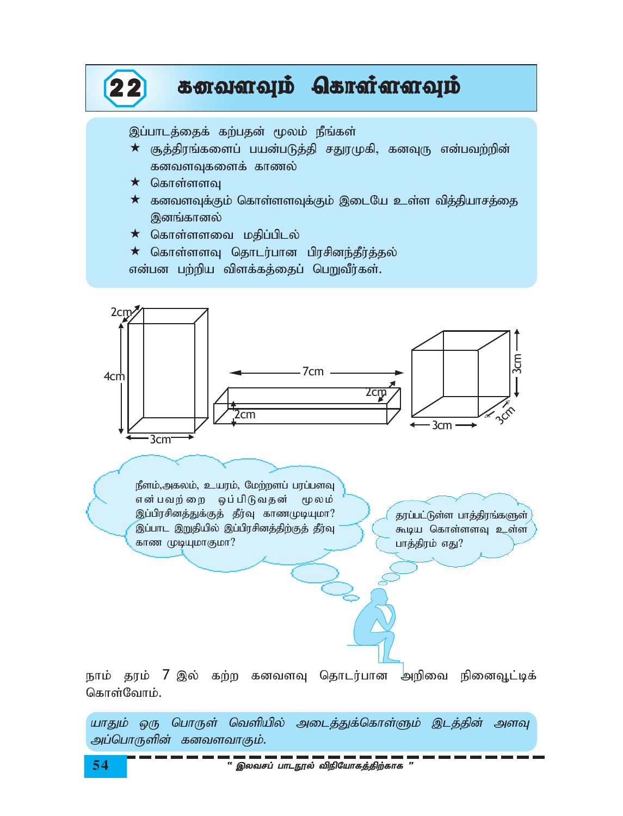

நீளம்,அகலம், உயரம், மேற்றளப் பரப்பளவு என்பவற்றை ஒப்பிடுவதன் மூலம் இப்பிரசினத்துக்குத் தீர்வு காணமுடியுமா? இப்பாட இறுதியில் இப்பிரசினத்திற்குத் தீர்வு காண முடியுமாகுமா?

தரப்பட்டுள்ள பாத்திரங்களுள் கூடிய கொள்ளளவு உள்ள பாத்திரம் எது?

நாம் தரம் 7 இல் கற்ற கனவளவு தொடர்பான அறிவை நினைவூட்டிக் கொள்வோம்.

யாதும் ஒரு பொருள் வெளியில் அடைத்துக்கொள்ளும் இடத்தின் அளவு அப்பொருளின் கனவளவாகும்.

54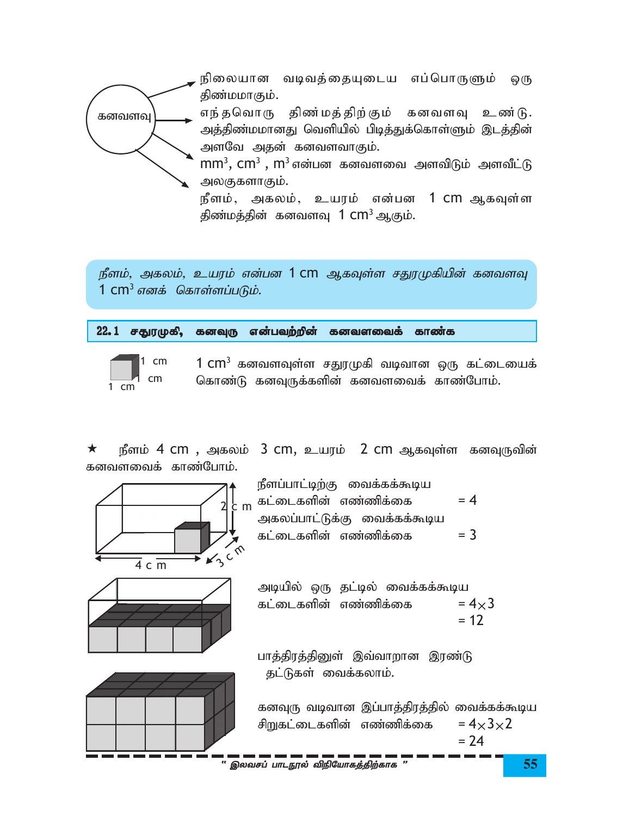

நீளம், அகலம், உயரம் என்பன 1 cm ஆகவுள்ள சதுரமுகியின் கனவளவு 1  $\textsf{cm}^3$  எனக் கொள்ளப்படும்.

|  |  |  |  | 22.1 சதுரமுகி, கனவுரு என்பவற்றின் கனவளவைக் காண்க |  |  |
|--|--|--|--|--------------------------------------------------|--|--|
|--|--|--|--|--------------------------------------------------|--|--|



1  $\text{cm}^3$  கனவளவுள்ள சதுரமுகி வடிவான ஒரு கட்டையைக் கொண்டு கனவுருக்களின் கனவளவைக் காண்போம்.

நீளம் 4 cm, அகலம் 3 cm, உயரம் 2 cm ஆகவுள்ள கனவுருவின்  $\star$ கனவளவைக் காண்போம்.





| நீளப்பாட்டிற்கு வைக்கக்கூடிய |       |
|------------------------------|-------|
| கட்டைகளின் எண்ணிக்கை         | $= 4$ |
| அகலப்பாட்டுக்கு வைக்கக்கூடிய |       |
| கட்டைகளின் எண்ணிக்கை         | $=$ 3 |

அடியில் ஒரு தட்டில் வைக்கக்கூடிய கட்டைகளின் எண்ணிக்கை  $= 4 \times 3$  $= 12$ 

பாத்திரத்தினுள் இவ்வாறான இரண்டு தட்டுகள் வைக்கலாம்.

கனவுரு வடிவான இப்பாத்திரத்தில் வைக்கக்கூடிய  $= 4 \times 3 \times 2$ சிறுகட்டைகளின் எண்ணிக்கை  $= 24$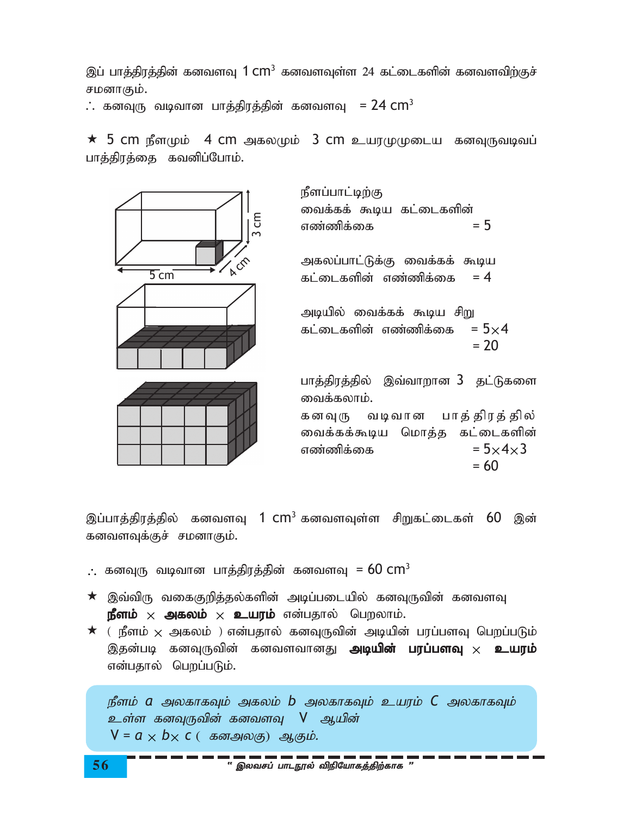இப் பாத்திரத்தின் கனவளவு  $1\,\mathrm{cm}^3$  கனவளவுள்ள 24 கட்டைகளின் கனவளவிற்குச் சமனாகும்.

 $\therefore$  கனவுரு வடிவான பாத்திரத்தின் கனவளவு  $=$  24  $\, \mathrm{cm}^3$ 

 $\,\star\,$  5 cm நீளமும்  $\,$  4 cm அகலமும்  $\,$  3 cm உயரமுமுடைய கனவுருவடிவப் பாத்திரத்தை கவனிப்போம்.



இப்பாத்திரத்தில் கனவளவு 1  $cm^3$ கனவளவுள்ள சிறுகட்டைகள் 60 இன் கனவளவுக்குச் சமனாகும்.

 $\therefore$  கனவுரு வடிவான பாத்திரத்தின் கனவளவு =  $60$   $\text{cm}^3$ 

- $\star$  இவ்விரு வகைகுறித்தல்களின் அடிப்படையில் கனவுருவின் கனவளவு  $\mathbf{g}$ ளம்  $\times$  அகலம்  $\times$  உயரம் என்பதால் பெறலாம்.
- $\star$  ( நீளம்  $\times$  அகலம் ) என்பதால் கனவுருவின் அடியின் பரப்பளவு பெறப்படும் இதன்படி கனவுருவின் கனவளவானது **அடியின் பரப்பளவு**  $\times$  **உயரம்** என்பதால் பெறப்படும்.

 $\n *g*$ ீளம்  $\alpha$  அலகாகவும் அகலம்  $\beta$  அலகாகவும் உயரம்  $\mathcal C$  அலகாகவும் உள்ள கனவுருவின் கனவளவு V ஆயின்  $V = a \times b \times c$  ( கனஅலகு) ஆகும்.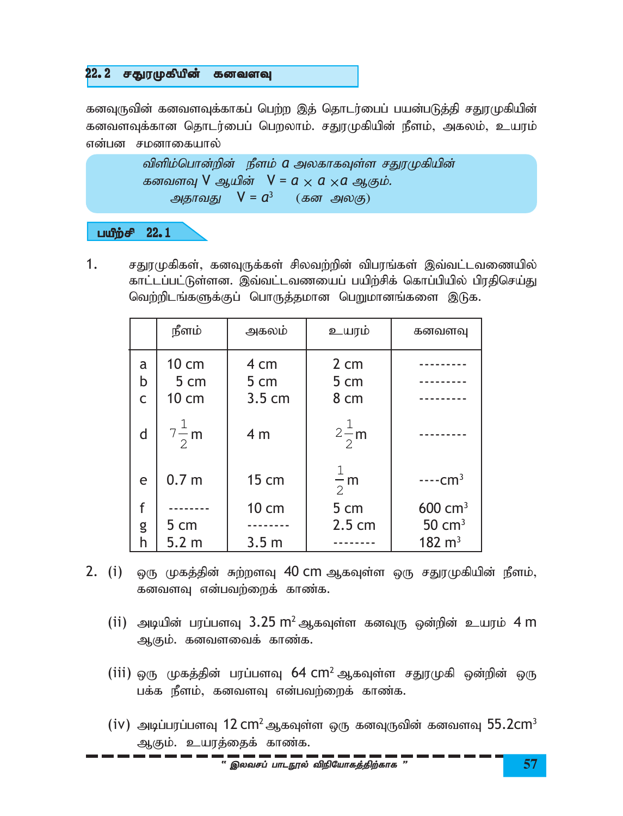# $22.2$  சதுரமுகியின் கனவளவு

கனவுருவின் கனவளவுக்காகப் பெற்ற இத் தொடர்பைப் பயன்படுத்தி சதுரமுகியின் கனவளவுக்கான தொடர்பைப் பெறலாம். சதுரமுகியின் நீளம், அகலம், உயரம் என்பன சமனாகையால்

```
விளிம்பொன்றின் நீளம் a அலகாகவுள்ள சதுரமுகியின்
கனவளவு V ஆயின் V = a × a × a ஆகும்.
அதாவது V = a^3 (கன அலகு)
```
### $L^2$

 $1.$  சதுரமுகிகள், கனவுருக்கள் சிலவற்றின் விபரங்கள் இவ்வட்டவணையில் காட்டப்பட்டுள்ளன. இவ்வட்டவணயைப் பயிற்சிக் கொப்பியில் பிரதிசெய்து வெற்றிடங்களுக்குப் பொருத்தமான பெறுமானங்களை இடுக.

|                          | நீளம்                  | அகலம்                            | உயரம்                          | கனவளவு             |
|--------------------------|------------------------|----------------------------------|--------------------------------|--------------------|
| a<br>b<br>$\overline{C}$ | 10 cm<br>5 cm<br>10 cm | 4 cm<br>5 cm<br>$3.5 \text{ cm}$ | $2 \text{ cm}$<br>5 cm<br>8 cm |                    |
| d                        | $7\frac{1}{2}$ m       | 4 <sub>m</sub>                   | $2\frac{1}{2}$ m               |                    |
| e                        | 0.7 <sub>m</sub>       | 15 cm                            | 1<br>$\frac{1}{2}$ m           | $---cm3$           |
| f                        |                        | 10 cm                            | 5 cm                           | $600 \text{ cm}^3$ |
| g                        | 5 cm                   |                                  | $2.5 \text{ cm}$               | $50 \text{ cm}^3$  |
| h                        | 5.2 <sub>m</sub>       | 3.5 <sub>m</sub>                 |                                | $182 \text{ m}^3$  |

- 2. (i) ஒரு முகத்தின் சுற்றளவு 40 cm ஆகவுள்ள ஒரு சதுரமுகியின் நீளம், கனவளவு என்பவற்றைக் காண்க.
	- (ii) அடியின் பரப்பளவு 3.25 m<sup>2</sup> ஆகவுள்ள கனவுரு ஒன்றின் உயரம் 4 m ஆகும். கனவளவைக் காண்க.
	- (iii) ஒரு முகத்தின் பரப்பளவு 64 cm<sup>2</sup> ஆகவுள்ள சதுரமுகி ஒன்றின் ஒரு பக்க நீளம், கனவளவு என்பவற்றைக் காண்க.
	- (iv) அடிப்பரப்பளவு 12 cm $^2$ ஆகவுள்ள ஒரு கனவுருவின் கனவளவு  $55.2$ cm $^3$ ஆகும். உயரத்தைக் காண்க.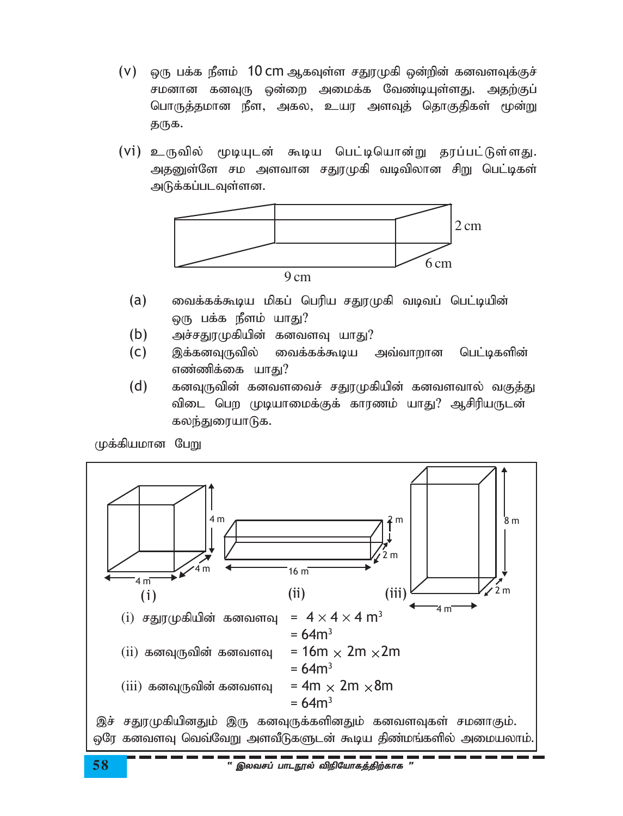- (V) ஒரு பக்க நீளம்  $\,$  10 cm ஆகவுள்ள சதுரமுகி ஒன்றின் கனவளவுக்குச் சமனான கனவுரு ஒன்றை அமைக்க வேண்டியுள்ளது. அதற்குப் பொருத்தமான நீள, அகல, உயர அளவுத் தொகுதிகள் மூன்று துருக.
- (Vi) உருவில் மூடியுடன் கூடிய பெட்டியொன்று கரப்பட்டுள்ளகு. அதனுள்ளே சம அளவான சதுரமுகி வடிவிலான சிறு பெட்டிகள் அடுக்கப்படவுள்ளன.



- வைக்கக்கூடிய மிகப் பெரிய சதுரமுகி வடிவப் பெட்டியின்  $(a)$ ஒரு பக்க நீளம் யாது?
- $(b)$ அச்சதுரமுகியின் கனவளவு யாது?
- $(C)$ இக்கனவுருவில் வைக்கக்கூடிய அவ்வாறான பெட்டிகளின் எண்ணிக்கை யாது?
- $(d)$ கனவுருவின் கனவளவைச் சதுரமுகியின் கனவளவால் வகுத்து விடை பெற முடியாமைக்குக் காரணம் யாது? ஆசிரியருடன் கலந்துரையாடுக.

முக்கியமான பேறு

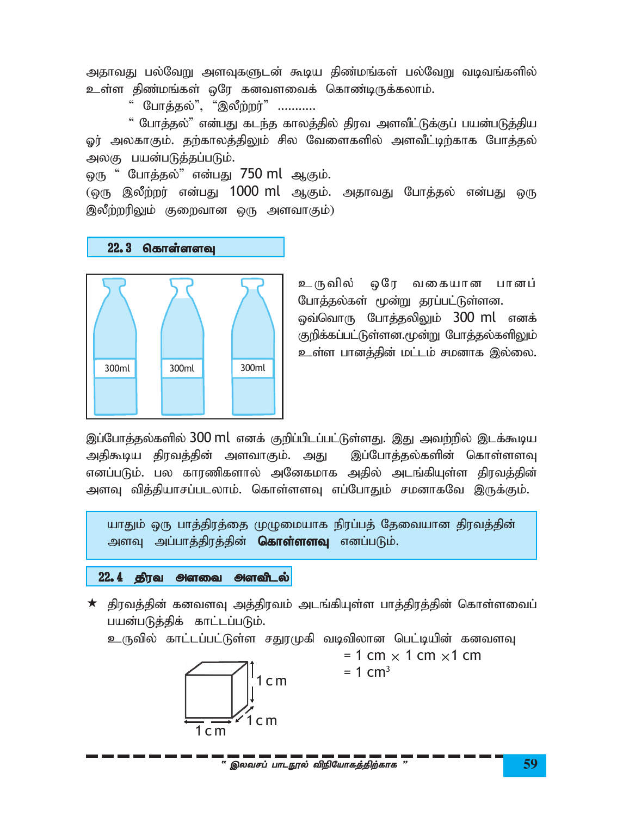அதாவது பல்வேறு அளவுகளுடன் கூடிய திண்மங்கள் பல்வேறு வடிவங்களில் உள்ள திண்மங்கள் ஒரே கனவளவைக் கொண்டிருக்கலாம்.

" போத்தல்", "இலீற்றர்" ...........

" போத்தல்" என்பது கடந்த காலத்தில் திரவ அளவீட்டுக்குப் பயன்படுத்திய ஓர் அலகாகும். தற்காலத்திலும் சில வேளைகளில் அளவீட்டிற்காக போத்தல் அலகு பயன்படுத்தப்படும்.

ஒரு " போத்தல்" என்பது 750 ml ஆகும்.

(ஒரு இலீற்றர் என்பது 1000 ml ஆகும். அதாவது போத்தல் என்பது ஒரு இலீற்றரிலும் குறைவான ஒரு அளவாகும்)

# $22.3$  தொள்ளளவு



உருவில் ஒரே வகையான பானப் போத்தல்கள் மூன்று தரப்பட்டுள்ளன. <u>ஒவ்வொரு போத்தலிலும் 300 ml எனக்</u> குறிக்கப்பட்டுள்ளன.மூன்று போத்தல்களிலும் உள்ள பானத்தின் மட்டம் சமனாக இல்லை.

இப்போத்தல்களில்  $300$  ml எனக் குறிப்பிடப்பட்டுள்ளது. இது அவற்றில் இடக்கூடிய அதிகூடிய திரவத்தின் அளவாகும். அது இப்போத்தல்களின் கொள்ளளவு எனப்படும். பல காரணிகளால் அனேகமாக அதில் அடங்கியுள்ள திரவத்தின் அளவு வித்தியாசப்படலாம். கொள்ளளவு எப்போதும் சமனாகவே இருக்கும்.

யாதும் ஒரு பாத்திரத்தை முழுமையாக நிரப்பத் தேவையான திரவத்தின் அளவு அப்பாத்திரத்தின் **கொள்ளளவு** எனப்படும்.

## $22.4$  திரவ அளவை அளவிடல்

 $\star$  திரவத்தின் கனவளவு அத்திரவம் அடங்கியுள்ள பாத்திரத்தின் கொள்ளவைப் பயன்படுத்திக் காட்டப்படும்.

உருவில் காட்டப்பட்டுள்ள சதுரமுகி வடிவிலான பெட்டியின் கனவளவு



 $= 1$  cm  $\times$  1 cm  $\times$ 1 cm  $= 1$  cm<sup>3</sup>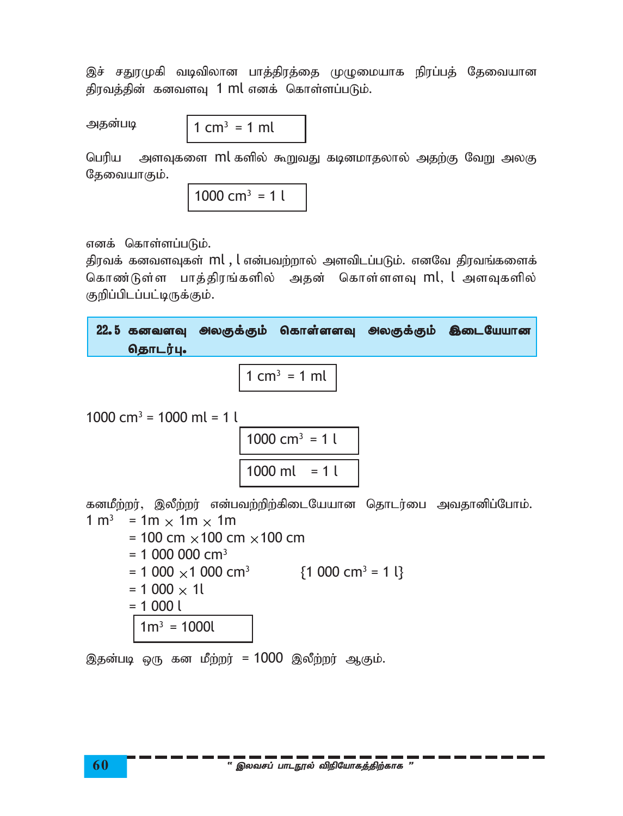இச் சதுரமுகி வடிவிலான பாத்திரத்தை முழுமையாக நிரப்பத் தேவையான திரவத்தின் கனவளவு 1 ml எனக் கொள்ளப்படும்.

அதன்படி

1 cm<sup>3</sup> = 1 ml

பெரிய அளவுகளை ml களில் கூறுவது கடினமாதலால் அதற்கு வேறு அலகு தேவையாகும்.

$$
1000 \text{ cm}^3 = 1 \text{ l}
$$

எனக் கொள்ளப்படும்.

திரவக் கனவளவுகள்  $ml$  ,  $l$  என்பவற்றால் அளவிடப்படும். எனவே திரவங்களைக் கொண்டுள்ள பாத்திரங்களில் அதன் கொள்ளளவு ml, l அளவுகளில் குறிப்பிடப்பட்டிருக்கும்.

| 22.5 கனவளவு அலகுக்கும் கொள்ளளவு அலகுக்கும் இடையேயான |  |  |
|-----------------------------------------------------|--|--|
| தொடர்பு.                                            |  |  |

$$
1 \text{ cm}^3 = 1 \text{ ml}
$$

$$
1000 \, \text{cm}^3 = 1000 \, \text{ml} = 1 \, \text{l}
$$

$$
\frac{1000 \text{ cm}^3 = 1 \text{ l}}{1000 \text{ ml} = 1 \text{ l}}
$$

கனமீற்றர், இலீற்றர் என்பவற்றிற்கிடையேயான தொடர்பை அவதானிப்போம்.  $1 m^3$  = 1m  $\times$  1m  $\times$  1m  $= 100 \, \text{cm} \times 100 \, \text{cm} \times 100 \, \text{cm}$ 

$$
= 1000 \text{ cm}^3
$$
  
= 1 000 000 cm<sup>3</sup>  
= 1 000 × 1 000 cm<sup>3</sup> {1 000 cm<sup>3</sup> = 1 {}  
= 1 000 × 11  
= 1 000 1  

$$
1 m3 = 10001
$$

இதன்படி ஒரு கன மீற்றர் = 1000 இலீற்றர் ஆகும்.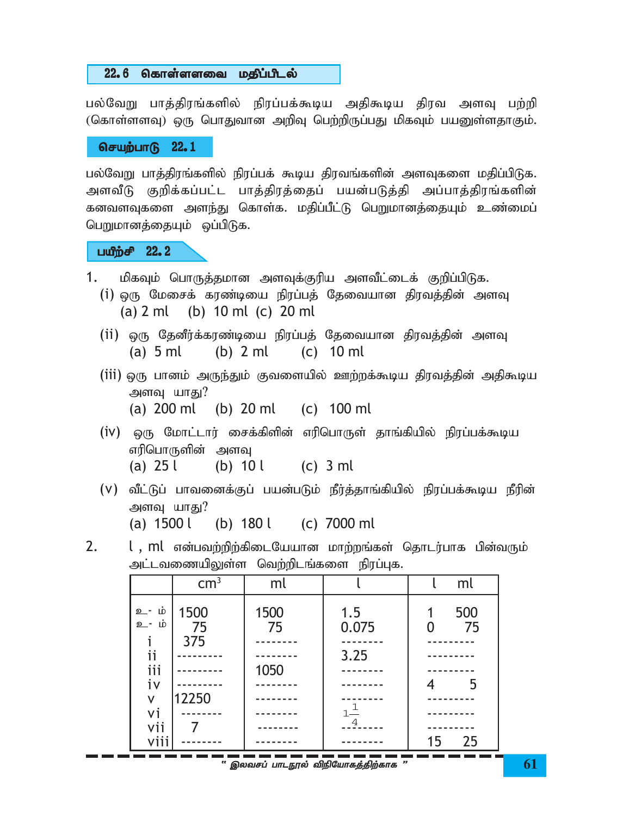#### 22.6 கொள்ளளவை மதிப்பிடல்

பல்வேறு பாத்திரங்களில் நிரப்பக்கூடிய அதிகூடிய திரவ அளவு பற்றி (கொள்ளளவு) ஒரு பொதுவான அறிவு பெற்றிருப்பது மிகவும் பயனுள்ளதாகும்.

### $6$ சயற்பாடு  $22.1$

பல்வேறு பாக்கிரங்களில் நிரப்பக் கூடிய கிரவங்களின் அளவுகளை மகிப்பிடுக. அளவீடு குறிக்கப்பட்ட பாத்திரத்தைப் பயன்படுத்தி அப்பாத்திரங்களின் கனவளவுகளை அளந்து கொள்க. மதிப்பீட்டு பெறுமானத்தையும் உண்மைப் பெறுமானத்தையும் ஒப்பிடுக.

### $L^2$

- 1. மிகவும் பொருத்தமான அளவுக்குரிய அளவீட்டைக் குறிப்பிடுக.
	- (i) ஒரு மேசைக் கரண்டியை நிரப்பக் கேவையான திரவக்கின் அளவு (a) 2 ml (b) 10 ml (c) 20 ml
	- (ii) ஒரு தேனீர்க்கரண்டியை நிரப்பத் தேவையான திரவத்தின் அளவு (a) 5 ml (b) 2 ml (c) 10 ml
	- (iii) ஒரு பானம் அருந்தும் குவளையில் ஊற்றக்கூடிய திரவத்தின் அதிகூடிய அளவு யாது?
		- (a) 200 ml (b) 20 ml (c) 100 ml
	- (iv) ஒரு மோட்டார் சைக்கிளின் எரிபொருள் தாங்கியில் நிரப்பக்கூடிய எரிபொருளின் அளவு (a)  $25 l$  (b)  $10 l$  (c)  $3 ml$
	- $(V)$  வீட்டுப் பாவனைக்குப் பயன்படும் நீர்த்தாங்கியில் நிரப்பக்கூடிய நீரின் அளவு யாது? (a) 1500 l (b) 180 l (c) 7000 ml
- 2. l, ml என்பவற்றிற்கிடையேயான மாற்றங்கள் தொடர்பாக பின்வரும் அட்டவணையிலுள்ள வெற்றிடங்களை நிரப்புக.

|                                                     | $\text{cm}^3$              | ml                 |                                                | ml              |
|-----------------------------------------------------|----------------------------|--------------------|------------------------------------------------|-----------------|
| உ- ம்<br>உ- ம்<br>ij<br>iii<br>iv<br>V<br>vi<br>vii | 1500<br>75<br>375<br>12250 | 1500<br>75<br>1050 | 1.5<br>0.075<br>3.25<br>$1^{\frac{1}{2}}$<br>4 | 500<br>75<br>-5 |
| vii:                                                |                            |                    |                                                | 25<br>15        |

 $^{\prime\prime}$  இலவசப் பாடநூல் விநியோகத்திற்காக "  $\rm{61}$